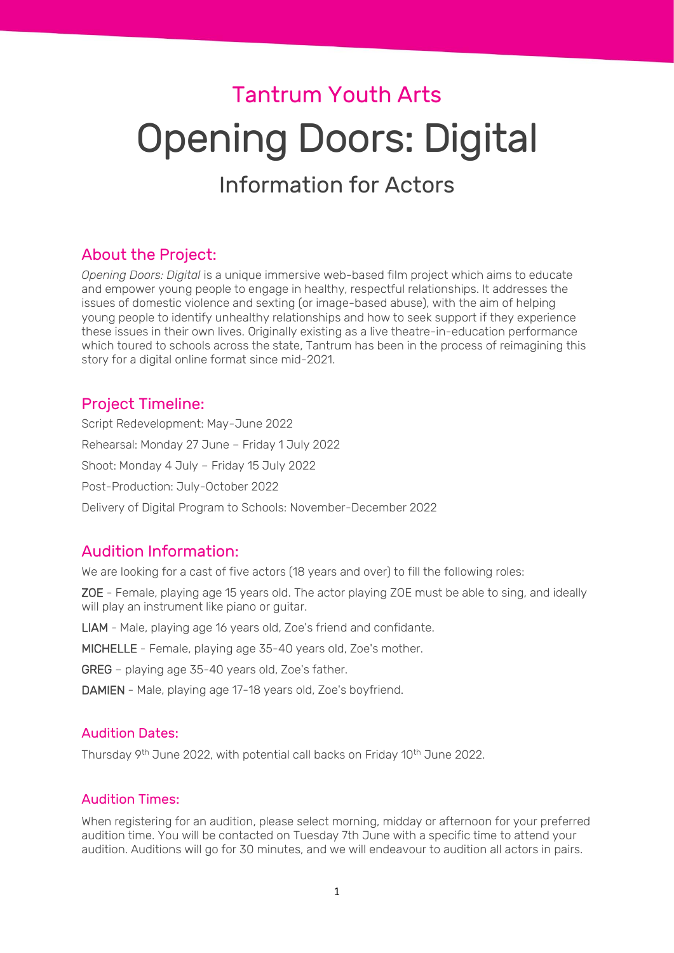# Tantrum Youth Arts Opening Doors: Digital

# Information for Actors

# About the Project:

*Opening Doors: Digital* is a unique immersive web-based film project which aims to educate and empower young people to engage in healthy, respectful relationships. It addresses the issues of domestic violence and sexting (or image-based abuse), with the aim of helping young people to identify unhealthy relationships and how to seek support if they experience these issues in their own lives. Originally existing as a live theatre-in-education performance which toured to schools across the state, Tantrum has been in the process of reimagining this story for a digital online format since mid-2021.

# Project Timeline:

Script Redevelopment: May-June 2022 Rehearsal: Monday 27 June – Friday 1 July 2022 Shoot: Monday 4 July – Friday 15 July 2022 Post-Production: July-October 2022 Delivery of Digital Program to Schools: November-December 2022

# Audition Information:

We are looking for a cast of five actors (18 years and over) to fill the following roles:

ZOE - Female, playing age 15 years old. The actor playing ZOE must be able to sing, and ideally will play an instrument like piano or guitar.

LIAM - Male, playing age 16 years old, Zoe's friend and confidante.

MICHELLE - Female, playing age 35-40 years old, Zoe's mother.

GREG – playing age 35-40 years old, Zoe's father.

DAMIEN - Male, playing age 17-18 years old, Zoe's boyfriend.

# Audition Dates:

Thursday 9<sup>th</sup> June 2022, with potential call backs on Friday 10<sup>th</sup> June 2022.

# Audition Times:

When registering for an audition, please select morning, midday or afternoon for your preferred audition time. You will be contacted on Tuesday 7th June with a specific time to attend your audition. Auditions will go for 30 minutes, and we will endeavour to audition all actors in pairs.